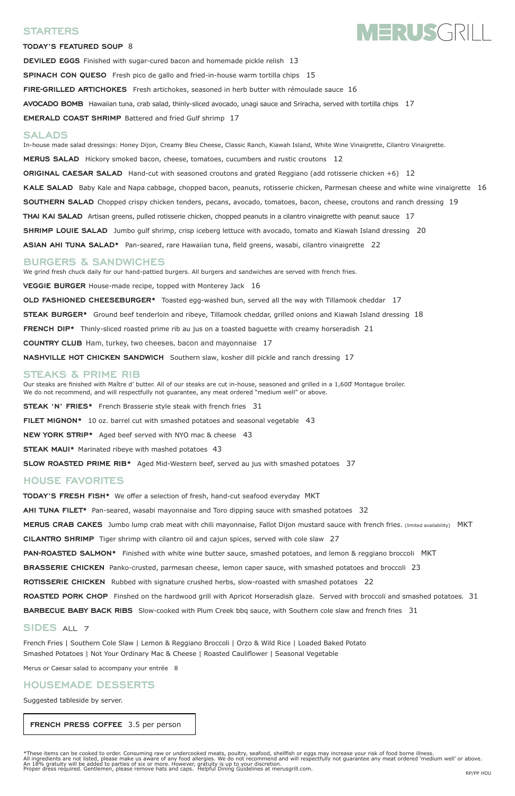# **STARTERS**

#### **TODAY'S FEATURED SOUP** 8

**DEVILED EGGS** Finished with sugar-cured bacon and homemade pickle relish 13 **SPINACH CON QUESO** Fresh pico de gallo and fried-in-house warm tortilla chips 15 **FIRE-GRILLED ARTICHOKES** Fresh artichokes, seasoned in herb butter with rémoulade sauce 16 **AVOCADO BOMB** Hawaiian tuna, crab salad, thinly-sliced avocado, unagi sauce and Sriracha, served with tortilla chips 17

**EMERALD COAST SHRIMP** Battered and fried Gulf shrimp 17

## **SALADS**

In-house made salad dressings: Honey Dijon, Creamy Bleu Cheese, Classic Ranch, Kiawah Island, White Wine Vinaigrette, Cilantro Vinaigrette. **MERUS SALAD** Hickory smoked bacon, cheese, tomatoes, cucumbers and rustic croutons 12 **ORIGINAL CAESAR SALAD** Hand-cut with seasoned croutons and grated Reggiano (add rotisserie chicken +6) 12 **KALE SALAD** Baby Kale and Napa cabbage, chopped bacon, peanuts, rotisserie chicken, Parmesan cheese and white wine vinaigrette 16 **SOUTHERN SALAD** Chopped crispy chicken tenders, pecans, avocado, tomatoes, bacon, cheese, croutons and ranch dressing 19 **THAI KAI SALAD** Artisan greens, pulled rotisserie chicken, chopped peanuts in a cilantro vinaigrette with peanut sauce 17 **SHRIMP LOUIE SALAD** Jumbo gulf shrimp, crisp iceberg lettuce with avocado, tomato and Kiawah Island dressing 20 **ASIAN AHI TUNA SALAD\*** Pan-seared, rare Hawaiian tuna, field greens, wasabi, cilantro vinaigrette 22

# **BURGERS & SANDWICHES**

We grind fresh chuck daily for our hand-pattied burgers. All burgers and sandwiches are served with french fries. **VEGGIE BURGER** House-made recipe, topped with Monterey Jack 16 **OLD FASHIONED CHEESEBURGER\*** Toasted egg-washed bun, served all the way with Tillamook cheddar 17 **STEAK BURGER\*** Ground beef tenderloin and ribeye, Tillamook cheddar, grilled onions and Kiawah Island dressing 18 **FRENCH DIP\*** Thinly-sliced roasted prime rib au jus on a toasted baguette with creamy horseradish 21 **COUNTRY CLUB** Ham, turkey, two cheeses, bacon and mayonnaise 17 **NASHVILLE HOT CHICKEN SANDWICH** Southern slaw, kosher dill pickle and ranch dressing 17

\*These items can be cooked to order. Consuming raw or undercooked meats, poultry, seafood, shellfish or eggs may increase your risk of food borne illness. All ingredients are not listed, please make us aware of any food allergies. We do not recommend and will respectfully not guarantee any meat ordered 'medium well' or above. An 18% gratuity will be added to parties of six or more. However, gratuity is up to your discretion. Proper dress required. Gentlemen, please remove hats and caps. Helpful Dining Guidelines at merusgrill.com.<br>RP/PP HOU

# **STEAKS & PRIME RIB**

Our steaks are finished with Maître d' butter. All of our steaks are cut in-house, seasoned and grilled in a 1,600° Montague broiler. We do not recommend, and will respectfully not guarantee, any meat ordered "medium well" or above.

**STEAK 'N' FRIES\*** French Brasserie style steak with french fries 31

**FILET MIGNON\*** 10 oz. barrel cut with smashed potatoes and seasonal vegetable 43

**NEW YORK STRIP\*** Aged beef served with NYO mac & cheese 43

**STEAK MAUI\*** Marinated ribeye with mashed potatoes 43

**SLOW ROASTED PRIME RIB\*** Aged Mid-Western beef, served au jus with smashed potatoes 37

# **HOUSE FAVORITES**

**TODAY'S FRESH FISH\*** We offer a selection of fresh, hand-cut seafood everyday MKT

**AHI TUNA FILET\*** Pan-seared, wasabi mayonnaise and Toro dipping sauce with smashed potatoes 32

**MERUS CRAB CAKES** Jumbo lump crab meat with chili mayonnaise, Fallot Dijon mustard sauce with french fries. (limited availability) MKT

**CILANTRO SHRIMP** Tiger shrimp with cilantro oil and cajun spices, served with cole slaw 27

**PAN-ROASTED SALMON\*** Finished with white wine butter sauce, smashed potatoes, and lemon & reggiano broccoli MKT

**BRASSERIE CHICKEN** Panko-crusted, parmesan cheese, lemon caper sauce, with smashed potatoes and broccoli 23

**ROTISSERIE CHICKEN** Rubbed with signature crushed herbs, slow-roasted with smashed potatoes 22

# **MERUSGRILL**

**ROASTED PORK CHOP** Finshed on the hardwood grill with Apricot Horseradish glaze. Served with broccoli and smashed potatoes. 31 **BARBECUE BABY BACK RIBS** Slow-cooked with Plum Creek bbq sauce, with Southern cole slaw and french fries 31

## **SIDES** ALL 7

French Fries | Southern Cole Slaw | Lemon & Reggiano Broccoli | Orzo & Wild Rice | Loaded Baked Potato Smashed Potatoes | Not Your Ordinary Mac & Cheese | Roasted Cauliflower | Seasonal Vegetable

Merus or Caesar salad to accompany your entrée 8

# **HOUSEMADE DESSERTS**

Suggested tableside by server.

 **FRENCH PRESS COFFEE** 3.5 per person